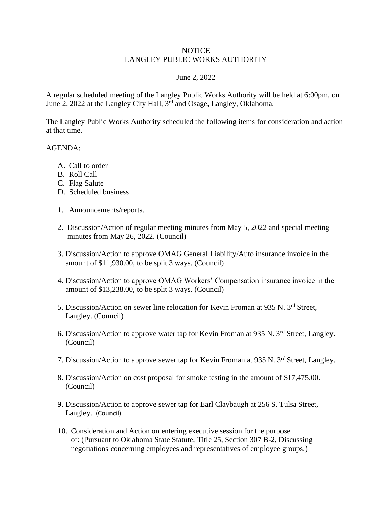## **NOTICE** LANGLEY PUBLIC WORKS AUTHORITY

## June 2, 2022

A regular scheduled meeting of the Langley Public Works Authority will be held at 6:00pm, on June 2, 2022 at the Langley City Hall, 3rd and Osage, Langley, Oklahoma.

The Langley Public Works Authority scheduled the following items for consideration and action at that time.

## AGENDA:

- A. Call to order
- B. Roll Call
- C. Flag Salute
- D. Scheduled business
- 1. Announcements/reports.
- 2. Discussion/Action of regular meeting minutes from May 5, 2022 and special meeting minutes from May 26, 2022. (Council)
- 3. Discussion/Action to approve OMAG General Liability/Auto insurance invoice in the amount of \$11,930.00, to be split 3 ways. (Council)
- 4. Discussion/Action to approve OMAG Workers' Compensation insurance invoice in the amount of \$13,238.00, to be split 3 ways. (Council)
- 5. Discussion/Action on sewer line relocation for Kevin Froman at 935 N. 3rd Street, Langley. (Council)
- 6. Discussion/Action to approve water tap for Kevin Froman at 935 N. 3rd Street, Langley. (Council)
- 7. Discussion/Action to approve sewer tap for Kevin Froman at 935 N. 3rd Street, Langley.
- 8. Discussion/Action on cost proposal for smoke testing in the amount of \$17,475.00. (Council)
- 9. Discussion/Action to approve sewer tap for Earl Claybaugh at 256 S. Tulsa Street, Langley. (Council)
- 10. Consideration and Action on entering executive session for the purpose of: (Pursuant to Oklahoma State Statute, Title 25, Section 307 B-2, Discussing negotiations concerning employees and representatives of employee groups.)